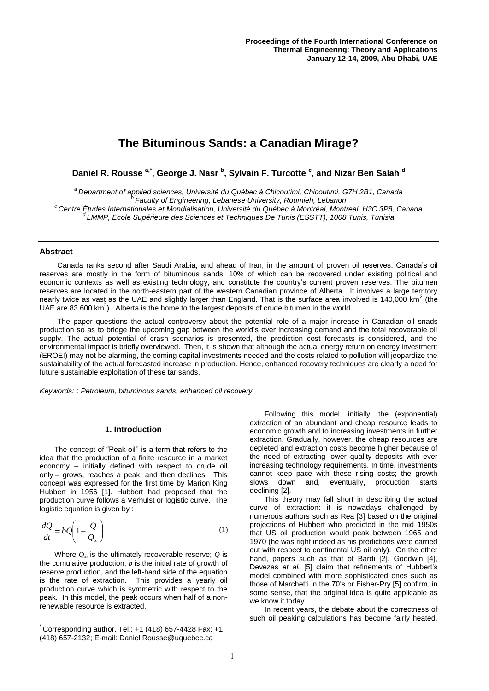# **The Bituminous Sands: a Canadian Mirage?**

**Daniel R. Rousse a,\*, George J. Nasr <sup>b</sup> , Sylvain F. Turcotte <sup>c</sup> , and Nizar Ben Salah <sup>d</sup>**

*<sup>a</sup>Department of applied sciences, Université du Québec à Chicoutimi, Chicoutimi, G7H 2B1, Canada b Faculty of Engineering, Lebanese University, Roumieh, Lebanon*

*<sup>c</sup> Centre Études Internationales et Mondialisation, Université du Québec à Montréal, Montreal, H3C 3P8, Canada*

*<sup>d</sup>LMMP, Ecole Supérieure des Sciences et Techniques De Tunis (ESSTT), 1008 Tunis, Tunisia*

#### **Abstract**

Canada ranks second after Saudi Arabia, and ahead of Iran, in the amount of proven oil reserves. Canada"s oil reserves are mostly in the form of bituminous sands, 10% of which can be recovered under existing political and economic contexts as well as existing technology, and constitute the country"s current proven reserves. The bitumen reserves are located in the north-eastern part of the western Canadian province of Alberta. It involves a large territory nearly twice as vast as the UAE and slightly larger than England. That is the surface area involved is 140,000 km<sup>2</sup> (the UAE are 83 600  $\text{km}^2$ ). Alberta is the home to the largest deposits of crude bitumen in the world.

The paper questions the actual controversy about the potential role of a major increase in Canadian oil snads production so as to bridge the upcoming gap between the world"s ever increasing demand and the total recoverable oil supply. The actual potential of crash scenarios is presented, the prediction cost forecasts is considered, and the environmental impact is briefly overviewed. Then, it is shown that although the actual energy return on energy investment (EROEI) may not be alarming, the coming capital investments needed and the costs related to pollution will jeopardize the sustainability of the actual forecasted increase in production. Hence, enhanced recovery techniques are clearly a need for future sustainable exploitation of these tar sands.

*Keywords:* : *Petroleum, bituminous sands, enhanced oil recovery.*

# **1. Introduction**

The concept of "Peak oil" is a term that refers to the idea that the production of a finite resource in a market economy – initially defined with respect to crude oil only – grows, reaches a peak, and then declines. This concept was expressed for the first time by Marion King Hubbert in 1956 [1]. Hubbert had proposed that the production curve follows a Verhulst or logistic curve. The logistic equation is given by :

$$
\frac{dQ}{dt} = bQ\left(1 - \frac{Q}{Q_{\infty}}\right) \tag{1}
$$

Where  $Q_{\infty}$  is the ultimately recoverable reserve;  $Q$  is the cumulative production, *b* is the initial rate of growth of reserve production, and the left-hand side of the equation is the rate of extraction. This provides a yearly oil production curve which is symmetric with respect to the peak. In this model, the peak occurs when half of a nonrenewable resource is extracted.

Following this model, initially, the (exponential) extraction of an abundant and cheap resource leads to economic growth and to increasing investments in further extraction. Gradually, however, the cheap resources are depleted and extraction costs become higher because of the need of extracting lower quality deposits with ever increasing technology requirements. In time, investments cannot keep pace with these rising costs; the growth slows down and, eventually, production starts declining [2].

This theory may fall short in describing the actual curve of extraction: it is nowadays challenged by numerous authors such as Rea [3] based on the original projections of Hubbert who predicted in the mid 1950s that US oil production would peak between 1965 and 1970 (he was right indeed as his predictions were carried out with respect to continental US oil only). On the other hand, papers such as that of Bardi [2], Goodwin [4], Devezas et al. [5] claim that refinements of Hubbert's model combined with more sophisticated ones such as those of Marchetti in the 70"s or Fisher-Pry [5] confirm, in some sense, that the original idea is quite applicable as we know it today.

In recent years, the debate about the correctness of such oil peaking calculations has become fairly heated.

Corresponding author. Tel.:  $+1$  (418) 657-4428 Fax:  $+1$ (418) 657-2132; E-mail: Daniel.Rousse@uquebec.ca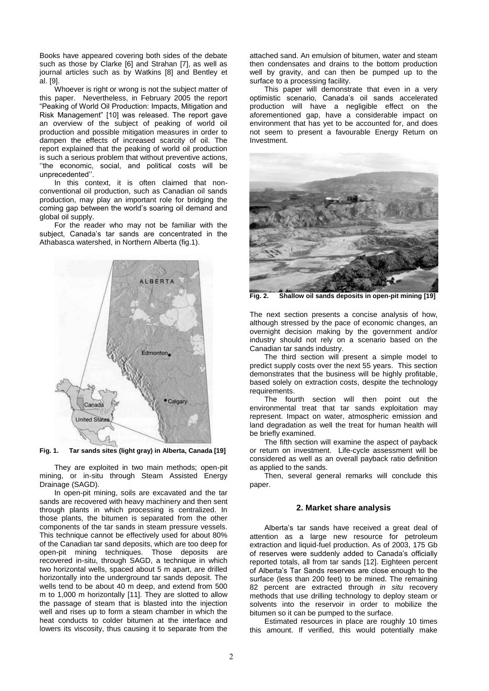Books have appeared covering both sides of the debate such as those by Clarke [6] and Strahan [7], as well as journal articles such as by Watkins [8] and Bentley et al. [9].

Whoever is right or wrong is not the subject matter of this paper. Nevertheless, in February 2005 the report "Peaking of World Oil Production: Impacts, Mitigation and Risk Management" [10] was released. The report gave an overview of the subject of peaking of world oil production and possible mitigation measures in order to dampen the effects of increased scarcity of oil. The report explained that the peaking of world oil production is such a serious problem that without preventive actions, "the economic, social, and political costs will be unprecedented"".

In this context, it is often claimed that nonconventional oil production, such as Canadian oil sands production, may play an important role for bridging the coming gap between the world"s soaring oil demand and global oil supply.

For the reader who may not be familiar with the subject, Canada"s tar sands are concentrated in the Athabasca watershed, in Northern Alberta (fig.1).



**Fig. 1. Tar sands sites (light gray) in Alberta, Canada [19]**

They are exploited in two main methods; open-pit mining, or in-situ through Steam Assisted Energy Drainage (SAGD).

In open-pit mining, soils are excavated and the tar sands are recovered with heavy machinery and then sent through plants in which processing is centralized. In those plants, the bitumen is separated from the other components of the tar sands in steam pressure vessels. This technique cannot be effectively used for about 80% of the Canadian tar sand deposits, which are too deep for open-pit mining techniques. Those deposits are recovered in-situ, through SAGD, a technique in which two horizontal wells, spaced about 5 m apart, are drilled horizontally into the underground tar sands deposit. The wells tend to be about 40 m deep, and extend from 500 m to 1,000 m horizontally [11]. They are slotted to allow the passage of steam that is blasted into the injection well and rises up to form a steam chamber in which the heat conducts to colder bitumen at the interface and lowers its viscosity, thus causing it to separate from the

attached sand. An emulsion of bitumen, water and steam then condensates and drains to the bottom production well by gravity, and can then be pumped up to the surface to a processing facility.

This paper will demonstrate that even in a very optimistic scenario, Canada"s oil sands accelerated production will have a negligible effect on the aforementioned gap, have a considerable impact on environment that has yet to be accounted for, and does not seem to present a favourable Energy Return on Investment.



**Fig. 2. Shallow oil sands deposits in open-pit mining [19]**

The next section presents a concise analysis of how, although stressed by the pace of economic changes, an overnight decision making by the government and/or industry should not rely on a scenario based on the Canadian tar sands industry.

The third section will present a simple model to predict supply costs over the next 55 years. This section demonstrates that the business will be highly profitable, based solely on extraction costs, despite the technology requirements.

The fourth section will then point out the environmental treat that tar sands exploitation may represent. Impact on water, atmospheric emission and land degradation as well the treat for human health will be briefly examined.

The fifth section will examine the aspect of payback or return on investment. Life-cycle assessment will be considered as well as an overall payback ratio definition as applied to the sands.

Then, several general remarks will conclude this paper.

### **2. Market share analysis**

Alberta"s tar sands have received a great deal of attention as a large new resource for petroleum extraction and liquid-fuel production. As of 2003, 175 Gb of reserves were suddenly added to Canada"s officially reported totals, all from tar sands [12]. Eighteen percent of Alberta"s Tar Sands reserves are close enough to the surface (less than 200 feet) to be mined. The remaining 82 percent are extracted through *in situ* recovery methods that use drilling technology to deploy steam or solvents into the reservoir in order to mobilize the bitumen so it can be pumped to the surface.

Estimated resources in place are roughly 10 times this amount. If verified, this would potentially make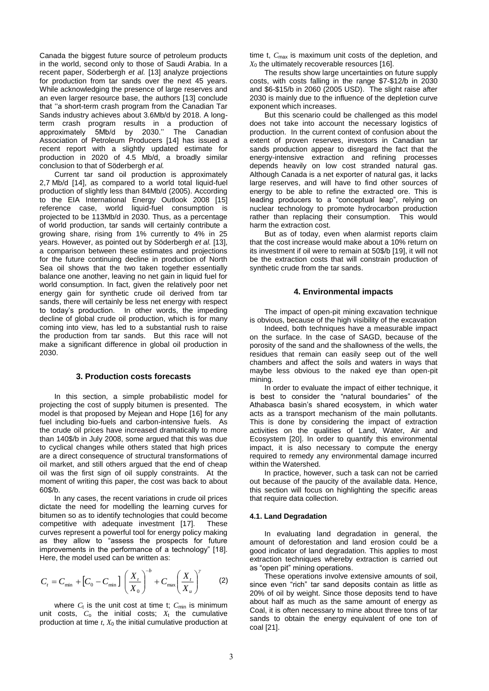Canada the biggest future source of petroleum products in the world, second only to those of Saudi Arabia. In a recent paper, Söderbergh *et al.* [13] analyze projections for production from tar sands over the next 45 years. While acknowledging the presence of large reserves and an even larger resource base, the authors [13] conclude that "a short-term crash program from the Canadian Tar Sands industry achieves about 3.6Mb/d by 2018. A longterm crash program results in a production of approximately 5Mb/d by 2030." The Canadian Association of Petroleum Producers [14] has issued a recent report with a slightly updated estimate for production in 2020 of 4.5 Mb/d, a broadly similar conclusion to that of Söderbergh *et al.*

Current tar sand oil production is approximately 2,7 Mb/d [14], as compared to a world total liquid-fuel production of slightly less than 84Mb/d (2005). According to the EIA International Energy Outlook 2008 [15] reference case, world liquid-fuel consumption is projected to be 113Mb/d in 2030. Thus, as a percentage of world production, tar sands will certainly contribute a growing share, rising from 1% currently to 4% in 25 years. However, as pointed out by Söderbergh *et al.* [13], a comparison between these estimates and projections for the future continuing decline in production of North Sea oil shows that the two taken together essentially balance one another, leaving no net gain in liquid fuel for world consumption. In fact, given the relatively poor net energy gain for synthetic crude oil derived from tar sands, there will certainly be less net energy with respect to today"s production. In other words, the impeding decline of global crude oil production, which is for many coming into view, has led to a substantial rush to raise the production from tar sands. But this race will not make a significant difference in global oil production in 2030.

# **3. Production costs forecasts**

In this section, a simple probabilistic model for projecting the cost of supply bitumen is presented. The model is that proposed by Mejean and Hope [16] for any fuel including bio-fuels and carbon-intensive fuels. As the crude oil prices have increased dramatically to more than 140\$/b in July 2008, some argued that this was due to cyclical changes while others stated that high prices are a direct consequence of structural transformations of oil market, and still others argued that the end of cheap oil was the first sign of oil supply constraints. At the moment of writing this paper, the cost was back to about 60\$/b.

In any cases, the recent variations in crude oil prices dictate the need for modelling the learning curves for bitumen so as to identify technologies that could become competitive with adequate investment [17]. These curves represent a powerful tool for energy policy making as they allow to "assess the prospects for future improvements in the performance of a technology" [18]. Here, the model used can be written as:

$$
C_t = C_{\min} + \left[C_0 - C_{\min}\right] \left(\frac{X_t}{X_0}\right)^{-b} + C_{\max} \left(\frac{X_t}{X_u}\right)^{\gamma}
$$
 (2)

where  $C_t$  is the unit cost at time t;  $C_{\text{min}}$  is minimum unit costs,  $C_0$  the initial costs;  $X_t$  the cumulative production at time *t*, *X*<sup>0</sup> the initial cumulative production at time t,  $C_{\text{max}}$  is maximum unit costs of the depletion, and *X*<sup>0</sup> the ultimately recoverable resources [16].

The results show large uncertainties on future supply costs, with costs falling in the range \$7-\$12/b in 2030 and \$6-\$15/b in 2060 (2005 USD). The slight raise after 2030 is mainly due to the influence of the depletion curve exponent which increases.

But this scenario could be challenged as this model does not take into account the necessary logistics of production. In the current context of confusion about the extent of proven reserves, investors in Canadian tar sands production appear to disregard the fact that the energy-intensive extraction and refining processes depends heavily on low cost stranded natural gas. Although Canada is a net exporter of natural gas, it lacks large reserves, and will have to find other sources of energy to be able to refine the extracted ore. This is leading producers to a "conceptual leap", relying on nuclear technology to promote hydrocarbon production rather than replacing their consumption. This would harm the extraction cost.

But as of today, even when alarmist reports claim that the cost increase would make about a 10% return on its investment if oil were to remain at 50\$/b [19], it will not be the extraction costs that will constrain production of synthetic crude from the tar sands.

## **4. Environmental impacts**

The impact of open-pit mining excavation technique is obvious, because of the high visibility of the excavation

Indeed, both techniques have a measurable impact on the surface. In the case of SAGD, because of the porosity of the sand and the shallowness of the wells, the residues that remain can easily seep out of the well chambers and affect the soils and waters in ways that maybe less obvious to the naked eye than open-pit mining.

In order to evaluate the impact of either technique, it is best to consider the "natural boundaries" of the Athabasca basin"s shared ecosystem, in which water acts as a transport mechanism of the main pollutants. This is done by considering the impact of extraction activities on the qualities of Land, Water, Air and Ecosystem [20]. In order to quantify this environmental impact, it is also necessary to compute the energy required to remedy any environmental damage incurred within the Watershed.

In practice, however, such a task can not be carried out because of the paucity of the available data. Hence, this section will focus on highlighting the specific areas that require data collection.

#### **4.1. Land Degradation**

In evaluating land degradation in general, the amount of deforestation and land erosion could be a good indicator of land degradation. This applies to most extraction techniques whereby extraction is carried out as "open pit" mining operations.

These operations involve extensive amounts of soil, since even "rich" tar sand deposits contain as little as 20% of oil by weight. Since those deposits tend to have about half as much as the same amount of energy as Coal, it is often necessary to mine about three tons of tar sands to obtain the energy equivalent of one ton of coal [21].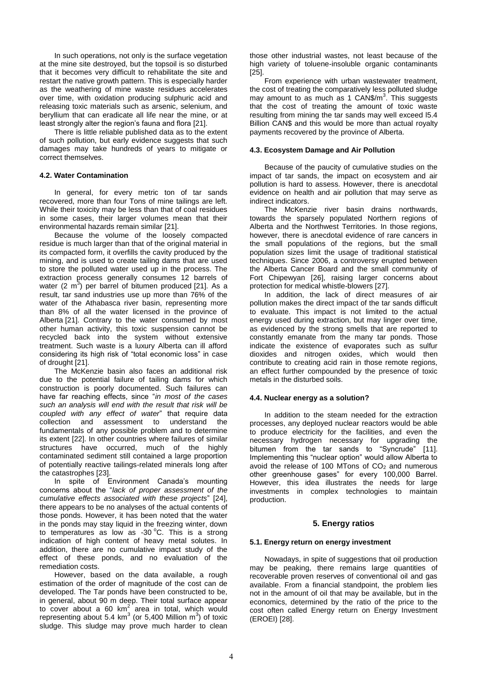In such operations, not only is the surface vegetation at the mine site destroyed, but the topsoil is so disturbed that it becomes very difficult to rehabilitate the site and restart the native growth pattern. This is especially harder as the weathering of mine waste residues accelerates over time, with oxidation producing sulphuric acid and releasing toxic materials such as arsenic, selenium, and beryllium that can eradicate all life near the mine, or at least strongly alter the region's fauna and flora [21].

There is little reliable published data as to the extent of such pollution, but early evidence suggests that such damages may take hundreds of years to mitigate or correct themselves.

# **4.2. Water Contamination**

In general, for every metric ton of tar sands recovered, more than four Tons of mine tailings are left. While their toxicity may be less than that of coal residues in some cases, their larger volumes mean that their environmental hazards remain similar [21].

Because the volume of the loosely compacted residue is much larger than that of the original material in its compacted form, it overfills the cavity produced by the mining, and is used to create tailing dams that are used to store the polluted water used up in the process. The extraction process generally consumes 12 barrels of water  $(2 \text{ m}^3)$  per barrel of bitumen produced [21]. As a result, tar sand industries use up more than 76% of the water of the Athabasca river basin, representing more than 8% of all the water licensed in the province of Alberta [21]. Contrary to the water consumed by most other human activity, this toxic suspension cannot be recycled back into the system without extensive treatment. Such waste is a luxury Alberta can ill afford considering its high risk of "total economic loss" in case of drought [21].

The McKenzie basin also faces an additional risk due to the potential failure of tailing dams for which construction is poorly documented. Such failures can have far reaching effects, since "*in most of the cases such an analysis will end with the result that risk will be coupled with any effect of water*" that require data collection and assessment to understand the fundamentals of any possible problem and to determine its extent [22]. In other countries where failures of similar structures have occurred, much of the highly contaminated sediment still contained a large proportion of potentially reactive tailings-related minerals long after the catastrophes [23].

In spite of Environment Canada"s mounting concerns about the "*lack of proper assessment of the cumulative effects associated with these projects*" [24], there appears to be no analyses of the actual contents of those ponds. However, it has been noted that the water in the ponds may stay liquid in the freezing winter, down to temperatures as low as -30 $\degree$ C. This is a strong indication of high content of heavy metal solutes. In addition, there are no cumulative impact study of the effect of these ponds, and no evaluation of the remediation costs.

However, based on the data available, a rough estimation of the order of magnitude of the cost can de developed. The Tar ponds have been constructed to be, in general, about 90 m deep. Their total surface appear to cover about a 60  $km^2$  area in total, which would representing about 5.4 km<sup>3</sup> (or 5,400 Million m<sup>3</sup>) of toxic sludge. This sludge may prove much harder to clean

those other industrial wastes, not least because of the high variety of toluene-insoluble organic contaminants [25].

From experience with urban wastewater treatment, the cost of treating the comparatively less polluted sludge may amount to as much as 1 CAN\$/m<sup>3</sup>. This suggests that the cost of treating the amount of toxic waste resulting from mining the tar sands may well exceed l5.4 Billion CAN\$ and this would be more than actual royalty payments recovered by the province of Alberta.

#### **4.3. Ecosystem Damage and Air Pollution**

Because of the paucity of cumulative studies on the impact of tar sands, the impact on ecosystem and air pollution is hard to assess. However, there is anecdotal evidence on health and air pollution that may serve as indirect indicators.

The McKenzie river basin drains northwards, towards the sparsely populated Northern regions of Alberta and the Northwest Territories. In those regions, however, there is anecdotal evidence of rare cancers in the small populations of the regions, but the small population sizes limit the usage of traditional statistical techniques. Since 2006, a controversy erupted between the Alberta Cancer Board and the small community of Fort Chipewyan [26], raising larger concerns about protection for medical whistle-blowers [27].

In addition, the lack of direct measures of air pollution makes the direct impact of the tar sands difficult to evaluate. This impact is not limited to the actual energy used during extraction, but may linger over time, as evidenced by the strong smells that are reported to constantly emanate from the many tar ponds. Those indicate the existence of evaporates such as sulfur dioxides and nitrogen oxides, which would then contribute to creating acid rain in those remote regions, an effect further compounded by the presence of toxic metals in the disturbed soils.

#### **4.4. Nuclear energy as a solution?**

In addition to the steam needed for the extraction processes, any deployed nuclear reactors would be able to produce electricity for the facilities, and even the necessary hydrogen necessary for upgrading the bitumen from the tar sands to "Syncrude" [11]. Implementing this "nuclear option" would allow Alberta to avoid the release of 100 MTons of  $CO<sub>2</sub>$  and numerous other greenhouse gases" for every 100,000 Barrel. However, this idea illustrates the needs for large investments in complex technologies to maintain production.

# **5. Energy ratios**

#### **5.1. Energy return on energy investment**

Nowadays, in spite of suggestions that oil production may be peaking, there remains large quantities of recoverable proven reserves of conventional oil and gas available. From a financial standpoint, the problem lies not in the amount of oil that may be available, but in the economics, determined by the ratio of the price to the cost often called Energy return on Energy Investment (EROEI) [28].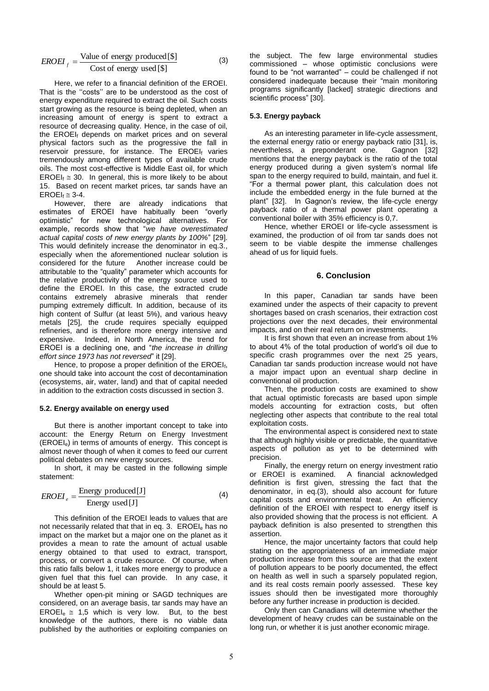$$
EROEI_f = \frac{\text{Value of energy produced} [\$]}{\text{Cost of energy used} [\$]} \tag{3}
$$

Here, we refer to a financial definition of the EROEI. That is the "costs" are to be understood as the cost of energy expenditure required to extract the oil. Such costs start growing as the resource is being depleted, when an increasing amount of energy is spent to extract a resource of decreasing quality. Hence, in the case of oil, the EROEIf depends on market prices and on several physical factors such as the progressive the fall in reservoir pressure, for instance. The EROEI<sup>f</sup> varies tremendously among different types of available crude oils. The most cost-effective is Middle East oil, for which  $EROEI_f \cong 30$ . In general, this is more likely to be about 15. Based on recent market prices, tar sands have an  $EROEI_f \approx 3-4.$ 

However, there are already indications that estimates of EROEI have habitually been "overly optimistic" for new technological alternatives. For example, records show that "*we have overestimated actual capital costs of new energy plants by 100%*" [29]. This would definitely increase the denominator in eq.3., especially when the aforementioned nuclear solution is considered for the future Another increase could be attributable to the "quality" parameter which accounts for the relative productivity of the energy source used to define the EROEI. In this case, the extracted crude contains extremely abrasive minerals that render pumping extremely difficult. In addition, because of its high content of Sulfur (at least 5%), and various heavy metals [25], the crude requires specially equipped refineries, and is therefore more energy intensive and expensive. Indeed, in North America, the trend for EROEI is a declining one, and "*the increase in drilling effort since 1973 has not reversed*" it [29].

Hence, to propose a proper definition of the EROEI<sub>f</sub>, one should take into account the cost of decontamination (ecosystems, air, water, land) and that of capital needed in addition to the extraction costs discussed in section 3.

# **5.2. Energy available on energy used**

But there is another important concept to take into account: the Energy Return on Energy Investment (EROEIe) in terms of amounts of energy. This concept is almost never though of when it comes to feed our current political debates on new energy sources.

In short, it may be casted in the following simple statement:

$$
EROEI_e = \frac{\text{Energy produced [J]}}{\text{Energy used [J]}}
$$
 (4)

This definition of the EROEI leads to values that are not necessarily related that that in eq. 3. EROEI<sub>e</sub> has no impact on the market but a major one on the planet as it provides a mean to rate the amount of actual usable energy obtained to that used to extract, transport, process, or convert a crude resource. Of course, when this ratio falls below 1, it takes more energy to produce a given fuel that this fuel can provide. In any case, it should be at least 5.

Whether open-pit mining or SAGD techniques are considered, on an average basis, tar sands may have an EROEI<sub>e</sub>  $\cong$  1,5 which is very low. But, to the best knowledge of the authors, there is no viable data published by the authorities or exploiting companies on

the subject. The few large environmental studies commissioned – whose optimistic conclusions were found to be "not warranted" – could be challenged if not considered inadequate because their "main monitoring programs significantly [lacked] strategic directions and scientific process" [30].

#### **5.3. Energy payback**

As an interesting parameter in life-cycle assessment, the external energy ratio or energy payback ratio [31], is, nevertheless. a preponderant one. Gagnon [32] nevertheless, a preponderant one. mentions that the energy payback is the ratio of the total energy produced during a given system's normal life span to the energy required to build, maintain, and fuel it. "For a thermal power plant, this calculation does not include the embedded energy in the fule burned at the plant" [32]. In Gagnon's review, the life-cycle energy payback ratio of a thermal power plant operating a conventional boiler with 35% efficiency is 0,7.

Hence, whether EROEI or life-cycle assessment is examined, the production of oil from tar sands does not seem to be viable despite the immense challenges ahead of us for liquid fuels.

#### **6. Conclusion**

In this paper, Canadian tar sands have been examined under the aspects of their capacity to prevent shortages based on crash scenarios, their extraction cost projections over the next decades, their environmental impacts, and on their real return on investments.

It is first shown that even an increase from about 1% to about 4% of the total production of world"s oil due to specific crash programmes over the next 25 years, Canadian tar sands production increase would not have a major impact upon an eventual sharp decline in conventional oil production.

Then, the production costs are examined to show that actual optimistic forecasts are based upon simple models accounting for extraction costs, but often neglecting other aspects that contribute to the real total exploitation costs.

The environmental aspect is considered next to state that although highly visible or predictable, the quantitative aspects of pollution as yet to be determined with precision.

Finally, the energy return on energy investment ratio or EROEI is examined. A financial acknowledged definition is first given, stressing the fact that the denominator, in eq.(3), should also account for future capital costs and environmental treat. An efficiency definition of the EROEI with respect to energy itself is also provided showing that the process is not efficient. A payback definition is also presented to strengthen this assertion.

Hence, the major uncertainty factors that could help stating on the appropriateness of an immediate major production increase from this source are that the extent of pollution appears to be poorly documented, the effect on health as well in such a sparsely populated region, and its real costs remain poorly assessed. These key issues should then be investigated more thoroughly before any further increase in production is decided.

Only then can Canadians will determine whether the development of heavy crudes can be sustainable on the long run, or whether it is just another economic mirage.